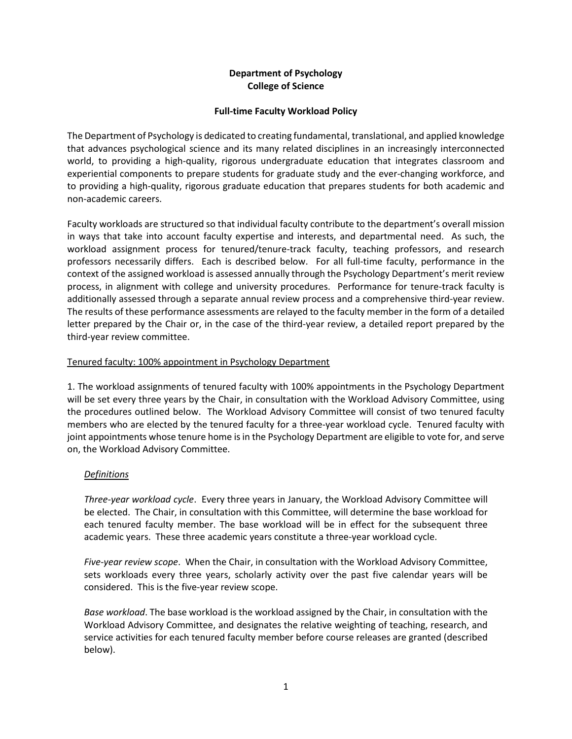## **Department of Psychology College of Science**

### **Full-time Faculty Workload Policy**

The Department of Psychology is dedicated to creating fundamental, translational, and applied knowledge that advances psychological science and its many related disciplines in an increasingly interconnected world, to providing a high-quality, rigorous undergraduate education that integrates classroom and experiential components to prepare students for graduate study and the ever-changing workforce, and to providing a high-quality, rigorous graduate education that prepares students for both academic and non-academic careers.

Faculty workloads are structured so that individual faculty contribute to the department's overall mission in ways that take into account faculty expertise and interests, and departmental need. As such, the workload assignment process for tenured/tenure-track faculty, teaching professors, and research professors necessarily differs. Each is described below. For all full-time faculty, performance in the context of the assigned workload is assessed annually through the Psychology Department's merit review process, in alignment with college and university procedures. Performance for tenure-track faculty is additionally assessed through a separate annual review process and a comprehensive third-year review. The results of these performance assessments are relayed to the faculty member in the form of a detailed letter prepared by the Chair or, in the case of the third-year review, a detailed report prepared by the third-year review committee.

### Tenured faculty: 100% appointment in Psychology Department

1. The workload assignments of tenured faculty with 100% appointments in the Psychology Department will be set every three years by the Chair, in consultation with the Workload Advisory Committee, using the procedures outlined below. The Workload Advisory Committee will consist of two tenured faculty members who are elected by the tenured faculty for a three-year workload cycle. Tenured faculty with joint appointments whose tenure home is in the Psychology Department are eligible to vote for, and serve on, the Workload Advisory Committee.

# *Definitions*

*Three-year workload cycle*. Every three years in January, the Workload Advisory Committee will be elected. The Chair, in consultation with this Committee, will determine the base workload for each tenured faculty member. The base workload will be in effect for the subsequent three academic years. These three academic years constitute a three-year workload cycle.

*Five-year review scope*. When the Chair, in consultation with the Workload Advisory Committee, sets workloads every three years, scholarly activity over the past five calendar years will be considered. This is the five-year review scope.

*Base workload*. The base workload is the workload assigned by the Chair, in consultation with the Workload Advisory Committee, and designates the relative weighting of teaching, research, and service activities for each tenured faculty member before course releases are granted (described below).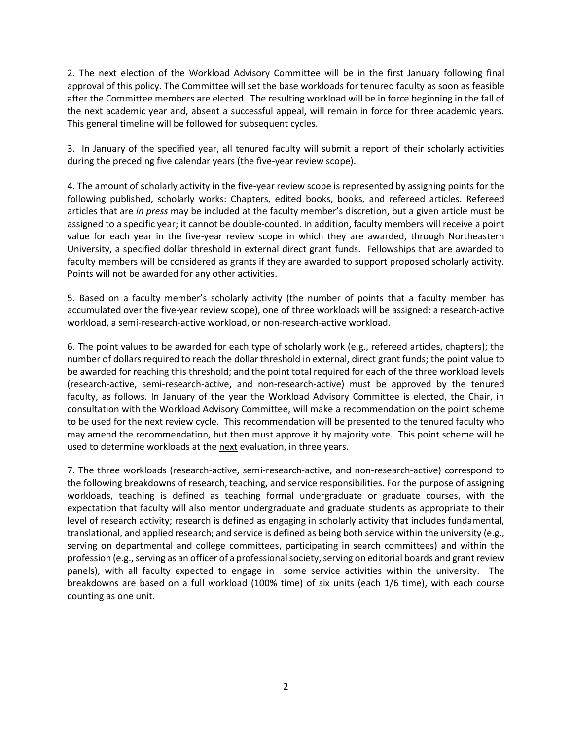2. The next election of the Workload Advisory Committee will be in the first January following final approval of this policy. The Committee will set the base workloads for tenured faculty as soon as feasible after the Committee members are elected. The resulting workload will be in force beginning in the fall of the next academic year and, absent a successful appeal, will remain in force for three academic years. This general timeline will be followed for subsequent cycles.

3. In January of the specified year, all tenured faculty will submit a report of their scholarly activities during the preceding five calendar years (the five-year review scope).

4. The amount of scholarly activity in the five-year review scope is represented by assigning points for the following published, scholarly works: Chapters, edited books, books, and refereed articles. Refereed articles that are *in press* may be included at the faculty member's discretion, but a given article must be assigned to a specific year; it cannot be double-counted. In addition, faculty members will receive a point value for each year in the five-year review scope in which they are awarded, through Northeastern University, a specified dollar threshold in external direct grant funds. Fellowships that are awarded to faculty members will be considered as grants if they are awarded to support proposed scholarly activity. Points will not be awarded for any other activities.

5. Based on a faculty member's scholarly activity (the number of points that a faculty member has accumulated over the five-year review scope), one of three workloads will be assigned: a research-active workload, a semi-research-active workload, or non-research-active workload.

6. The point values to be awarded for each type of scholarly work (e.g., refereed articles, chapters); the number of dollars required to reach the dollar threshold in external, direct grant funds; the point value to be awarded for reaching this threshold; and the point total required for each of the three workload levels (research-active, semi-research-active, and non-research-active) must be approved by the tenured faculty, as follows. In January of the year the Workload Advisory Committee is elected, the Chair, in consultation with the Workload Advisory Committee, will make a recommendation on the point scheme to be used for the next review cycle. This recommendation will be presented to the tenured faculty who may amend the recommendation, but then must approve it by majority vote. This point scheme will be used to determine workloads at the next evaluation, in three years.

7. The three workloads (research-active, semi-research-active, and non-research-active) correspond to the following breakdowns of research, teaching, and service responsibilities. For the purpose of assigning workloads, teaching is defined as teaching formal undergraduate or graduate courses, with the expectation that faculty will also mentor undergraduate and graduate students as appropriate to their level of research activity; research is defined as engaging in scholarly activity that includes fundamental, translational, and applied research; and service is defined as being both service within the university (e.g., serving on departmental and college committees, participating in search committees) and within the profession (e.g., serving as an officer of a professional society, serving on editorial boards and grant review panels), with all faculty expected to engage in some service activities within the university. The breakdowns are based on a full workload (100% time) of six units (each 1/6 time), with each course counting as one unit.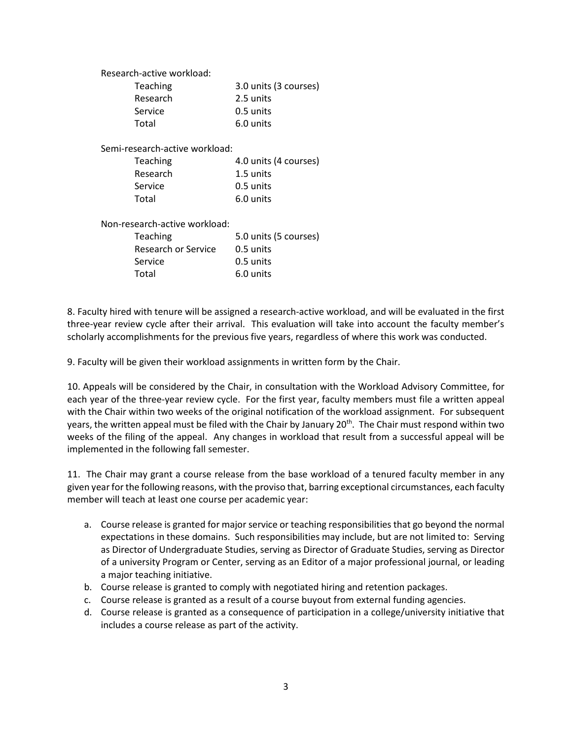|                                | Research-active workload: |                       |  |  |
|--------------------------------|---------------------------|-----------------------|--|--|
|                                | Teaching                  | 3.0 units (3 courses) |  |  |
|                                | Research                  | 2.5 units             |  |  |
|                                | Service                   | 0.5 units             |  |  |
|                                | Total                     | 6.0 units             |  |  |
| Semi-research-active workload: |                           |                       |  |  |
|                                | Teaching                  | 4.0 units (4 courses) |  |  |
|                                | Research                  | 1.5 units             |  |  |
|                                | Service                   | 0.5 units             |  |  |
|                                | Total                     | 6.0 units             |  |  |
| Non-research-active workload:  |                           |                       |  |  |
|                                | Teaching                  | 5.0 units (5 courses) |  |  |
|                                | Research or Service       | 0.5 units             |  |  |
|                                | Service                   | 0.5 units             |  |  |
|                                | Total                     | 6.0 units             |  |  |
|                                |                           |                       |  |  |

8. Faculty hired with tenure will be assigned a research-active workload, and will be evaluated in the first three-year review cycle after their arrival. This evaluation will take into account the faculty member's scholarly accomplishments for the previous five years, regardless of where this work was conducted.

9. Faculty will be given their workload assignments in written form by the Chair.

10. Appeals will be considered by the Chair, in consultation with the Workload Advisory Committee, for each year of the three-year review cycle. For the first year, faculty members must file a written appeal with the Chair within two weeks of the original notification of the workload assignment. For subsequent years, the written appeal must be filed with the Chair by January 20<sup>th</sup>. The Chair must respond within two weeks of the filing of the appeal. Any changes in workload that result from a successful appeal will be implemented in the following fall semester.

11. The Chair may grant a course release from the base workload of a tenured faculty member in any given year for the following reasons, with the proviso that, barring exceptional circumstances, each faculty member will teach at least one course per academic year:

- a. Course release is granted for major service or teaching responsibilities that go beyond the normal expectations in these domains. Such responsibilities may include, but are not limited to: Serving as Director of Undergraduate Studies, serving as Director of Graduate Studies, serving as Director of a university Program or Center, serving as an Editor of a major professional journal, or leading a major teaching initiative.
- b. Course release is granted to comply with negotiated hiring and retention packages.
- c. Course release is granted as a result of a course buyout from external funding agencies.
- d. Course release is granted as a consequence of participation in a college/university initiative that includes a course release as part of the activity.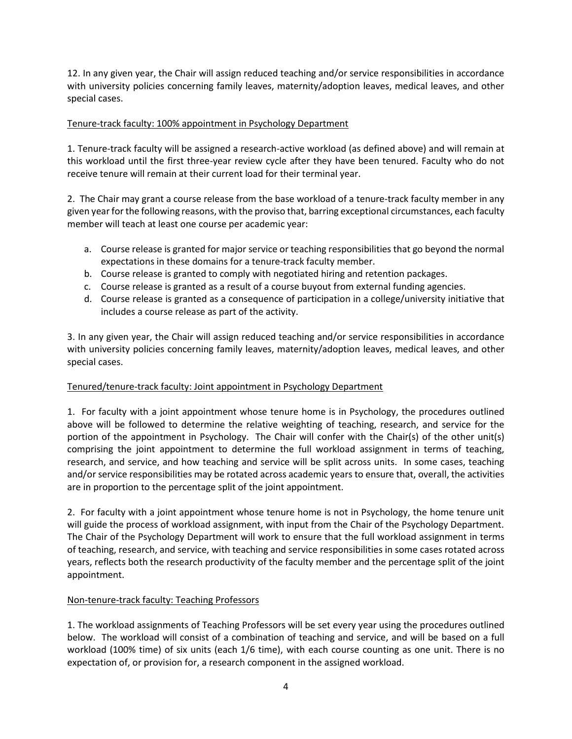12. In any given year, the Chair will assign reduced teaching and/or service responsibilities in accordance with university policies concerning family leaves, maternity/adoption leaves, medical leaves, and other special cases.

## Tenure-track faculty: 100% appointment in Psychology Department

1. Tenure-track faculty will be assigned a research-active workload (as defined above) and will remain at this workload until the first three-year review cycle after they have been tenured. Faculty who do not receive tenure will remain at their current load for their terminal year.

2. The Chair may grant a course release from the base workload of a tenure-track faculty member in any given year for the following reasons, with the proviso that, barring exceptional circumstances, each faculty member will teach at least one course per academic year:

- a. Course release is granted for major service or teaching responsibilities that go beyond the normal expectations in these domains for a tenure-track faculty member.
- b. Course release is granted to comply with negotiated hiring and retention packages.
- c. Course release is granted as a result of a course buyout from external funding agencies.
- d. Course release is granted as a consequence of participation in a college/university initiative that includes a course release as part of the activity.

3. In any given year, the Chair will assign reduced teaching and/or service responsibilities in accordance with university policies concerning family leaves, maternity/adoption leaves, medical leaves, and other special cases.

# Tenured/tenure-track faculty: Joint appointment in Psychology Department

1. For faculty with a joint appointment whose tenure home is in Psychology, the procedures outlined above will be followed to determine the relative weighting of teaching, research, and service for the portion of the appointment in Psychology. The Chair will confer with the Chair(s) of the other unit(s) comprising the joint appointment to determine the full workload assignment in terms of teaching, research, and service, and how teaching and service will be split across units. In some cases, teaching and/or service responsibilities may be rotated across academic years to ensure that, overall, the activities are in proportion to the percentage split of the joint appointment.

2. For faculty with a joint appointment whose tenure home is not in Psychology, the home tenure unit will guide the process of workload assignment, with input from the Chair of the Psychology Department. The Chair of the Psychology Department will work to ensure that the full workload assignment in terms of teaching, research, and service, with teaching and service responsibilities in some cases rotated across years, reflects both the research productivity of the faculty member and the percentage split of the joint appointment.

# Non-tenure-track faculty: Teaching Professors

1. The workload assignments of Teaching Professors will be set every year using the procedures outlined below. The workload will consist of a combination of teaching and service, and will be based on a full workload (100% time) of six units (each 1/6 time), with each course counting as one unit. There is no expectation of, or provision for, a research component in the assigned workload.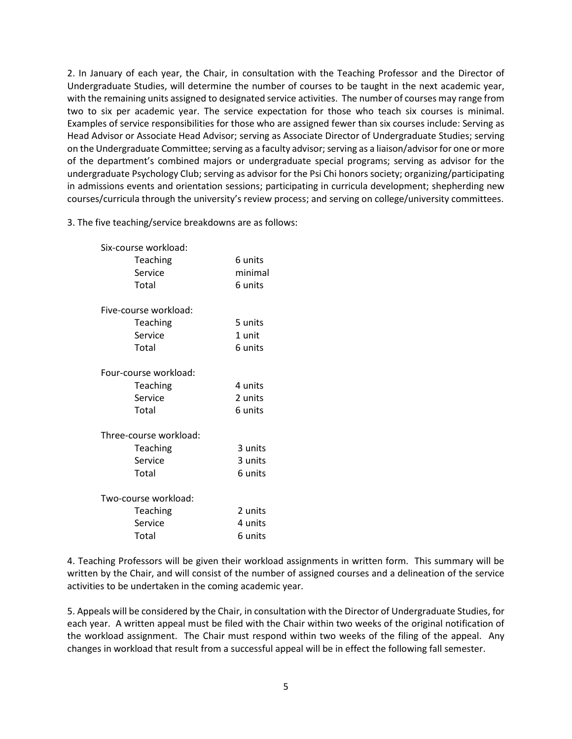2. In January of each year, the Chair, in consultation with the Teaching Professor and the Director of Undergraduate Studies, will determine the number of courses to be taught in the next academic year, with the remaining units assigned to designated service activities. The number of courses may range from two to six per academic year. The service expectation for those who teach six courses is minimal. Examples of service responsibilities for those who are assigned fewer than six courses include: Serving as Head Advisor or Associate Head Advisor; serving as Associate Director of Undergraduate Studies; serving on the Undergraduate Committee; serving as a faculty advisor; serving as a liaison/advisor for one or more of the department's combined majors or undergraduate special programs; serving as advisor for the undergraduate Psychology Club; serving as advisor for the Psi Chi honors society; organizing/participating in admissions events and orientation sessions; participating in curricula development; shepherding new courses/curricula through the university's review process; and serving on college/university committees.

3. The five teaching/service breakdowns are as follows:

| Six-course workload:   |                       |         |  |  |
|------------------------|-----------------------|---------|--|--|
|                        | Teaching              | 6 units |  |  |
|                        | Service               | minimal |  |  |
|                        | Total                 | 6 units |  |  |
|                        |                       |         |  |  |
|                        | Five-course workload: |         |  |  |
|                        | Teaching              | 5 units |  |  |
|                        | Service               | 1 unit  |  |  |
|                        | Total                 | 6 units |  |  |
|                        |                       |         |  |  |
| Four-course workload:  |                       |         |  |  |
|                        | Teaching              | 4 units |  |  |
|                        | Service               | 2 units |  |  |
|                        | Total                 | 6 units |  |  |
| Three-course workload: |                       |         |  |  |
|                        | Teaching              | 3 units |  |  |
|                        | Service               | 3 units |  |  |
|                        | Total                 | 6 units |  |  |
|                        |                       |         |  |  |
| Two-course workload:   |                       |         |  |  |
|                        | Teaching              | 2 units |  |  |
|                        | Service               | 4 units |  |  |
|                        | Total                 | 6 units |  |  |
|                        |                       |         |  |  |

4. Teaching Professors will be given their workload assignments in written form. This summary will be written by the Chair, and will consist of the number of assigned courses and a delineation of the service activities to be undertaken in the coming academic year.

5. Appeals will be considered by the Chair, in consultation with the Director of Undergraduate Studies, for each year. A written appeal must be filed with the Chair within two weeks of the original notification of the workload assignment. The Chair must respond within two weeks of the filing of the appeal. Any changes in workload that result from a successful appeal will be in effect the following fall semester.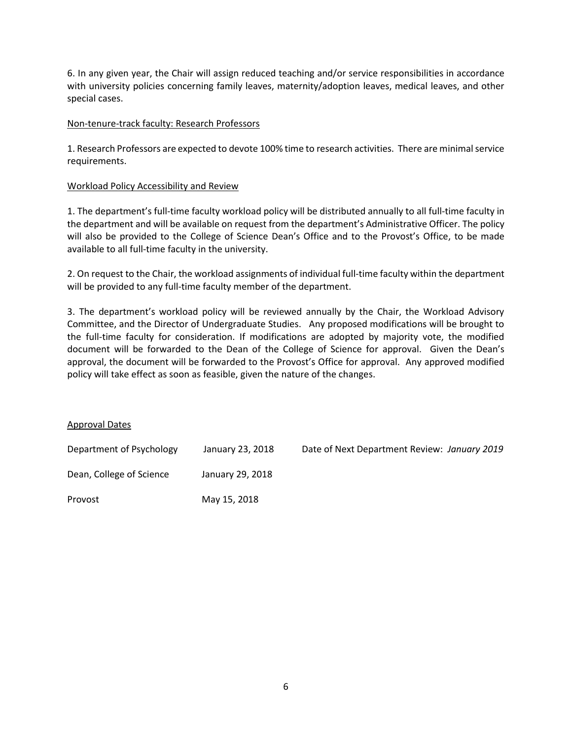6. In any given year, the Chair will assign reduced teaching and/or service responsibilities in accordance with university policies concerning family leaves, maternity/adoption leaves, medical leaves, and other special cases.

### Non-tenure-track faculty: Research Professors

1. Research Professors are expected to devote 100% time to research activities. There are minimal service requirements.

#### Workload Policy Accessibility and Review

1. The department's full-time faculty workload policy will be distributed annually to all full-time faculty in the department and will be available on request from the department's Administrative Officer. The policy will also be provided to the College of Science Dean's Office and to the Provost's Office, to be made available to all full-time faculty in the university.

2. On request to the Chair, the workload assignments of individual full-time faculty within the department will be provided to any full-time faculty member of the department.

3. The department's workload policy will be reviewed annually by the Chair, the Workload Advisory Committee, and the Director of Undergraduate Studies. Any proposed modifications will be brought to the full-time faculty for consideration. If modifications are adopted by majority vote, the modified document will be forwarded to the Dean of the College of Science for approval. Given the Dean's approval, the document will be forwarded to the Provost's Office for approval. Any approved modified policy will take effect as soon as feasible, given the nature of the changes.

### Approval Dates

| Department of Psychology | January 23, 2018 | Date of Next Department Review: January 2019 |
|--------------------------|------------------|----------------------------------------------|
| Dean, College of Science | January 29, 2018 |                                              |
| Provost                  | May 15, 2018     |                                              |